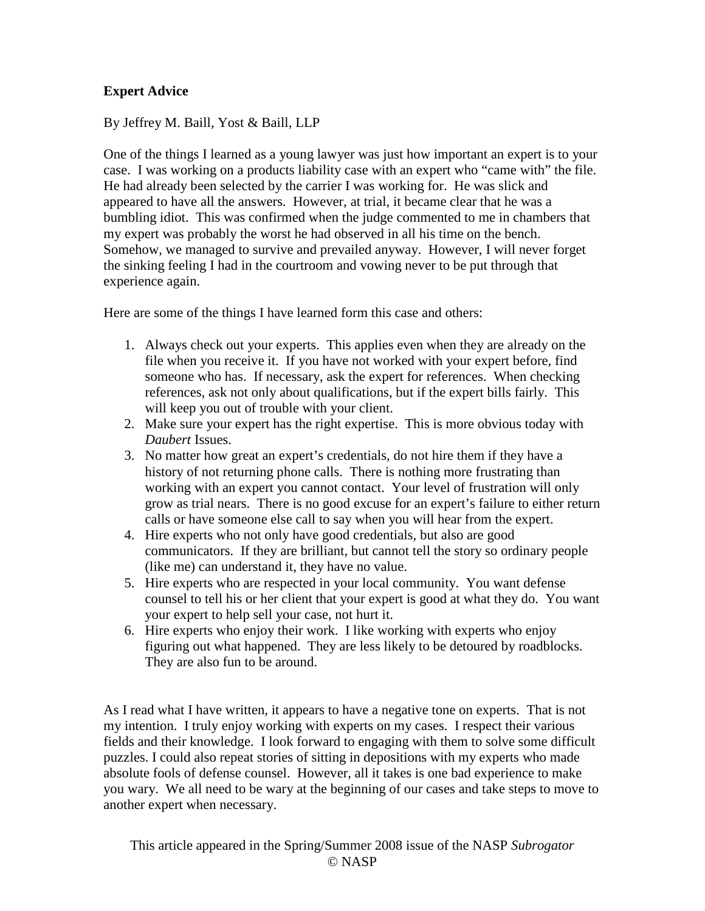## **Expert Advice**

By Jeffrey M. Baill, Yost & Baill, LLP

One of the things I learned as a young lawyer was just how important an expert is to your case. I was working on a products liability case with an expert who "came with" the file. He had already been selected by the carrier I was working for. He was slick and appeared to have all the answers. However, at trial, it became clear that he was a bumbling idiot. This was confirmed when the judge commented to me in chambers that my expert was probably the worst he had observed in all his time on the bench. Somehow, we managed to survive and prevailed anyway. However, I will never forget the sinking feeling I had in the courtroom and vowing never to be put through that experience again.

Here are some of the things I have learned form this case and others:

- 1. Always check out your experts. This applies even when they are already on the file when you receive it. If you have not worked with your expert before, find someone who has. If necessary, ask the expert for references. When checking references, ask not only about qualifications, but if the expert bills fairly. This will keep you out of trouble with your client.
- 2. Make sure your expert has the right expertise. This is more obvious today with *Daubert* Issues.
- 3. No matter how great an expert's credentials, do not hire them if they have a history of not returning phone calls. There is nothing more frustrating than working with an expert you cannot contact. Your level of frustration will only grow as trial nears. There is no good excuse for an expert's failure to either return calls or have someone else call to say when you will hear from the expert.
- 4. Hire experts who not only have good credentials, but also are good communicators. If they are brilliant, but cannot tell the story so ordinary people (like me) can understand it, they have no value.
- 5. Hire experts who are respected in your local community. You want defense counsel to tell his or her client that your expert is good at what they do. You want your expert to help sell your case, not hurt it.
- 6. Hire experts who enjoy their work. I like working with experts who enjoy figuring out what happened. They are less likely to be detoured by roadblocks. They are also fun to be around.

As I read what I have written, it appears to have a negative tone on experts. That is not my intention. I truly enjoy working with experts on my cases. I respect their various fields and their knowledge. I look forward to engaging with them to solve some difficult puzzles. I could also repeat stories of sitting in depositions with my experts who made absolute fools of defense counsel. However, all it takes is one bad experience to make you wary. We all need to be wary at the beginning of our cases and take steps to move to another expert when necessary.